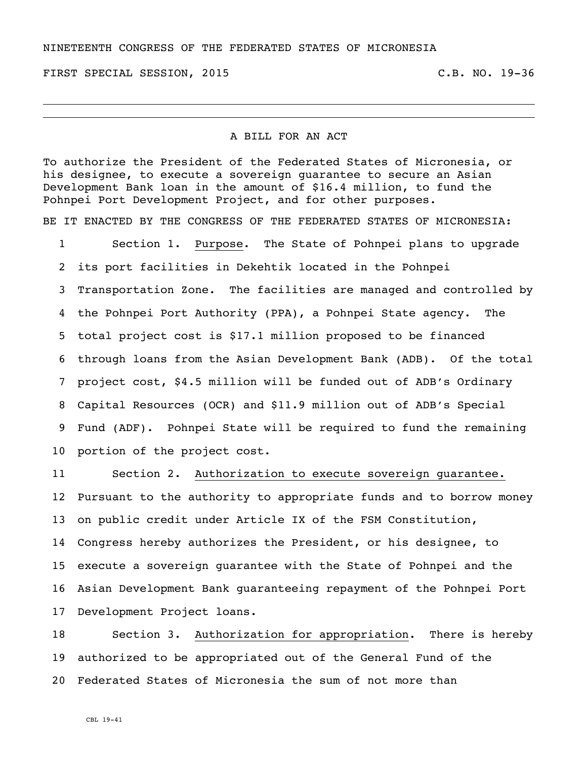## NINETEENTH CONGRESS OF THE FEDERATED STATES OF MICRONESIA

FIRST SPECIAL SESSION, 2015 C.B. NO. 19-36

## A BILL FOR AN ACT

To authorize the President of the Federated States of Micronesia, or his designee, to execute a sovereign guarantee to secure an Asian Development Bank loan in the amount of \$16.4 million, to fund the Pohnpei Port Development Project, and for other purposes.

BE IT ENACTED BY THE CONGRESS OF THE FEDERATED STATES OF MICRONESIA:

 Section 1. Purpose. The State of Pohnpei plans to upgrade its port facilities in Dekehtik located in the Pohnpei Transportation Zone. The facilities are managed and controlled by the Pohnpei Port Authority (PPA), a Pohnpei State agency. The total project cost is \$17.1 million proposed to be financed through loans from the Asian Development Bank (ADB). Of the total project cost, \$4.5 million will be funded out of ADB's Ordinary Capital Resources (OCR) and \$11.9 million out of ADB's Special Fund (ADF). Pohnpei State will be required to fund the remaining portion of the project cost.

 Section 2. Authorization to execute sovereign guarantee. Pursuant to the authority to appropriate funds and to borrow money on public credit under Article IX of the FSM Constitution, Congress hereby authorizes the President, or his designee, to execute a sovereign guarantee with the State of Pohnpei and the Asian Development Bank guaranteeing repayment of the Pohnpei Port Development Project loans.

 Section 3. Authorization for appropriation. There is hereby authorized to be appropriated out of the General Fund of the Federated States of Micronesia the sum of not more than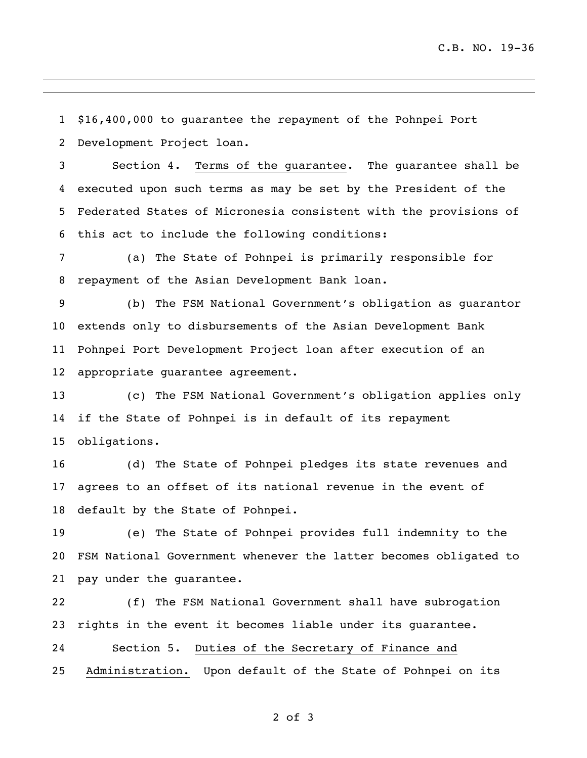\$16,400,000 to guarantee the repayment of the Pohnpei Port

Development Project loan.

 Section 4. Terms of the guarantee. The guarantee shall be executed upon such terms as may be set by the President of the Federated States of Micronesia consistent with the provisions of this act to include the following conditions:

 (a) The State of Pohnpei is primarily responsible for repayment of the Asian Development Bank loan.

 (b) The FSM National Government's obligation as guarantor extends only to disbursements of the Asian Development Bank Pohnpei Port Development Project loan after execution of an appropriate guarantee agreement.

 (c) The FSM National Government's obligation applies only if the State of Pohnpei is in default of its repayment obligations.

 (d) The State of Pohnpei pledges its state revenues and agrees to an offset of its national revenue in the event of default by the State of Pohnpei.

 (e) The State of Pohnpei provides full indemnity to the FSM National Government whenever the latter becomes obligated to pay under the guarantee.

 (f) The FSM National Government shall have subrogation rights in the event it becomes liable under its guarantee. Section 5. Duties of the Secretary of Finance and Administration. Upon default of the State of Pohnpei on its